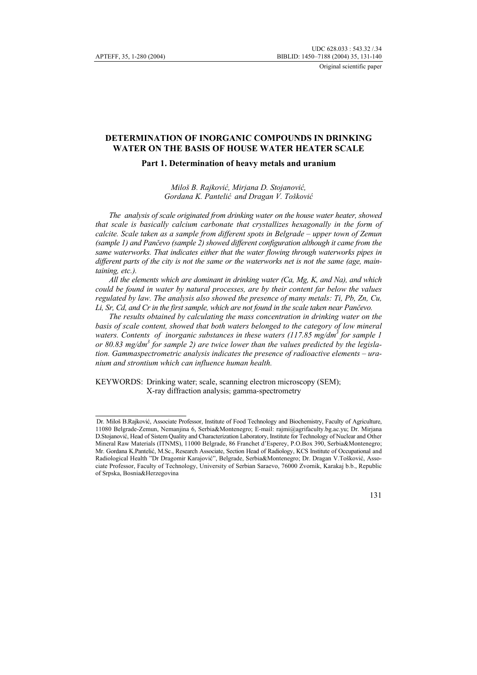# **DETERMINATION OF INORGANIC COMPOUNDS IN DRINKING WATER ON THE BASIS OF HOUSE WATER HEATER SCALE**

### **Part 1. Determination of heavy metals and uranium**

*Miloš B. Rajković, Mirjana D. Stojanović, Gordana K. Pantelić and Dragan V. Tošković*

*The analysis of scale originated from drinking water on the house water heater, showed that scale is basically calcium carbonate that crystallizes hexagonally in the form of calcite. Scale taken as a sample from different spots in Belgrade – upper town of Zemun (sample 1) and Pančevo (sample 2) showed different configuration although it came from the same waterworks. That indicates either that the water flowing through waterworks pipes in different parts of the city is not the same or the waterworks net is not the same (age, maintaining, etc.).* 

*All the elements which are dominant in drinking water (Ca, Mg, K, and Na), and which could be found in water by natural processes, are by their content far below the values regulated by law. The analysis also showed the presence of many metals: Ti, Pb, Zn, Cu, Li, Sr, Cd, and Cr in the first sample, which are not found in the scale taken near Pančevo.* 

*The results obtained by calculating the mass concentration in drinking water on the basis of scale content, showed that both waters belonged to the category of low mineral* waters. Contents of inorganic substances in these waters (117.85 mg/dm<sup>3</sup> for sample 1 *or 80.83 mg/dm<sup>3</sup> for sample 2) are twice lower than the values predicted by the legislation. Gammaspectrometric analysis indicates the presence of radioactive elements – uranium and strontium which can influence human health.* 

KEYWORDS: Drinking water; scale, scanning electron microscopy (SEM); X-ray diffraction analysis; gamma-spectrometry

Dr. Miloš B.Rajković, Associate Professor, Institute of Food Technology and Biochemistry, Faculty of Agriculture, 11080 Belgrade-Zemun, Nemanjina 6, Serbia&Montenegro; E-mail: rajmi@agrifaculty.bg.ac.yu; Dr. Mirjana D.Stojanović, Head of Sistem Quality and Characterization Laboratory, Institute for Technology of Nuclear and Other Mineral Raw Materials (ITNMS), 11000 Belgrade, 86 Franchet d'Esperey, P.O.Box 390, Serbia&Montenegro; Mr. Gordana K.Pantelić, M.Sc., Research Associate, Section Head of Radiology, KCS Institute of Occupational and Radiological Health "Dr Dragomir Karajović", Belgrade, Serbia&Montenegro; Dr. Dragan V.Tošković, Associate Professor, Faculty of Technology, University of Serbian Saraevo, 76000 Zvornik, Karakaj b.b., Republic of Srpska, Bosnia&Herzegovina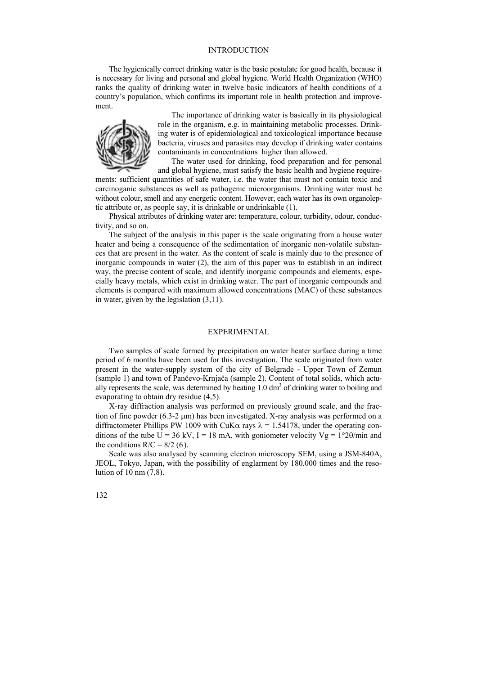### INTRODUCTION

The hygienically correct drinking water is the basic postulate for good health, because it is necessary for living and personal and global hygiene. World Health Organization (WHO) ranks the quality of drinking water in twelve basic indicators of health conditions of a country's population, which confirms its important role in health protection and improvement.



The importance of drinking water is basically in its physiological role in the organism, e.g. in maintaining metabolic processes. Drinking water is of epidemiological and toxicological importance because bacteria, viruses and parasites may develop if drinking water contains contaminants in concentrations higher than allowed.

The water used for drinking, food preparation and for personal and global hygiene, must satisfy the basic health and hygiene require-

ments: sufficient quantities of safe water, i.e. the water that must not contain toxic and carcinoganic substances as well as pathogenic microorganisms. Drinking water must be without colour, smell and any energetic content. However, each water has its own organoleptic attribute or, as people say, it is drinkable or undrinkable (1).

Physical attributes of drinking water are: temperature, colour, turbidity, odour, conductivity, and so on.

The subject of the analysis in this paper is the scale originating from a house water heater and being a consequence of the sedimentation of inorganic non-volatile substances that are present in the water. As the content of scale is mainly due to the presence of inorganic compounds in water (2), the aim of this paper was to establish in an indirect way, the precise content of scale, and identify inorganic compounds and elements, especially heavy metals, which exist in drinking water. The part of inorganic compounds and elements is compared with maximum allowed concentrations (MAC) of these substances in water, given by the legislation (3,11).

#### EXPERIMENTAL

Two samples of scale formed by precipitation on water heater surface during a time period of 6 months have been used for this investigation. The scale originated from water present in the water-supply system of the city of Belgrade - Upper Town of Zemun (sample 1) and town of Pančevo-Krnjača (sample 2). Content of total solids, which actually represents the scale, was determined by heating  $1.0 \text{ dm}^3$  of drinking water to boiling and evaporating to obtain dry residue (4,5).

X-ray diffraction analysis was performed on previously ground scale, and the fraction of fine powder  $(6.3-2 \mu m)$  has been investigated. X-ray analysis was performed on a diffractometer Phillips PW 1009 with CuK $\alpha$  rays  $\lambda = 1.54178$ , under the operating conditions of the tube U = 36 kV, I = 18 mA, with goniometer velocity  $Vg = 1^{\circ}2\theta/\text{min}$  and the conditions  $R/C = 8/2$  (6).

Scale was also analysed by scanning electron microscopy SEM, using a JSM-840A, JEOL, Tokyo, Japan, with the possibility of englarment by 180.000 times and the resolution of 10 nm (7,8).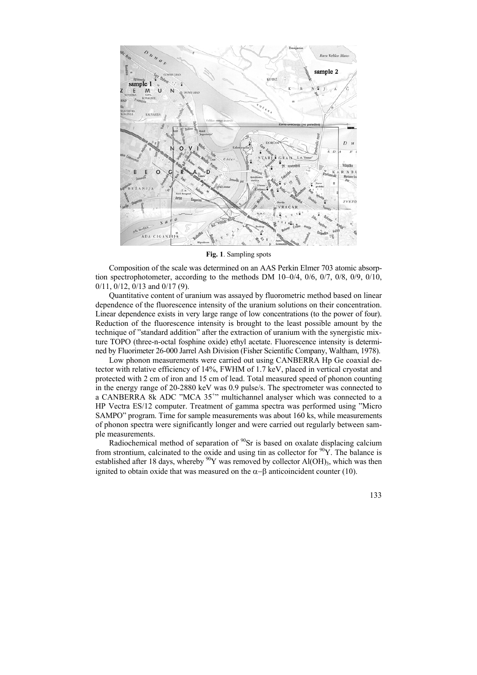

**Fig. 1**. Sampling spots

Composition of the scale was determined on an AAS Perkin Elmer 703 atomic absorption spectrophotometer, according to the methods DM 10–0/4, 0/6, 0/7, 0/8, 0/9, 0/10, 0/11, 0/12, 0/13 and 0/17 (9).

Quantitative content of uranium was assayed by fluorometric method based on linear dependence of the fluorescence intensity of the uranium solutions on their concentration. Linear dependence exists in very large range of low concentrations (to the power of four). Reduction of the fluorescence intensity is brought to the least possible amount by the technique of "standard addition" after the extraction of uranium with the synergistic mixture TOPO (three-n-octal fosphine oxide) ethyl acetate. Fluorescence intensity is determined by Fluorimeter 26-000 Jarrel Ash Division (Fisher Scientific Company, Waltham, 1978).

Low phonon measurements were carried out using CANBERRA Hp Ge coaxial detector with relative efficiency of 14%, FWHM of 1.7 keV, placed in vertical cryostat and protected with 2 cm of iron and 15 cm of lead. Total measured speed of phonon counting in the energy range of 20-2880 keV was 0.9 pulse/s. The spectrometer was connected to a CANBERRA 8k ADC "MCA 35<sup>+</sup>" multichannel analyser which was connected to a HP Vectra ES/12 computer. Treatment of gamma spectra was performed using "Micro SAMPO" program. Time for sample measurements was about 160 ks, while measurements of phonon spectra were significantly longer and were carried out regularly between sample measurements.

Radiochemical method of separation of  $90Sr$  is based on oxalate displacing calcium from strontium, calcinated to the oxide and using tin as collector for  $^{90}Y$ . The balance is established after 18 days, whereby  $^{90}Y$  was removed by collector Al(OH)<sub>3</sub>, which was then ignited to obtain oxide that was measured on the  $\alpha-\beta$  anticoincident counter (10).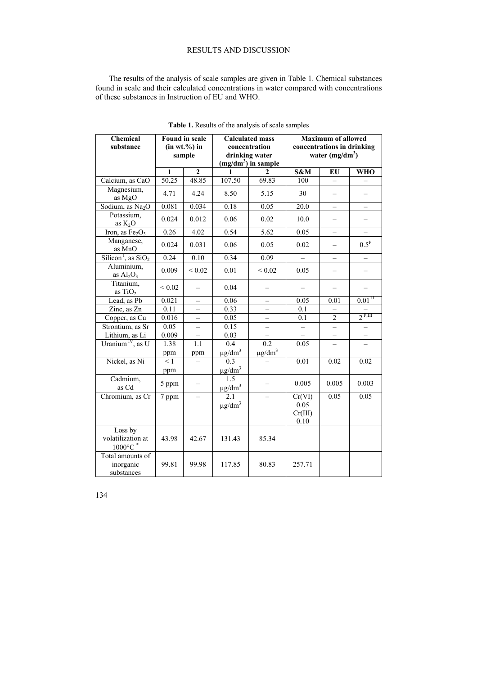## RESULTS AND DISCUSSION

The results of the analysis of scale samples are given in Table 1. Chemical substances found in scale and their calculated concentrations in water compared with concentrations of these substances in Instruction of EU and WHO.

| Chemical<br>substance                              | <b>Found in scale</b><br>(in wt.%) in<br>sample |                          | <b>Calculated mass</b><br>concentration<br>drinking water<br>$(mg/dm^3)$ in sample |                          | <b>Maximum of allowed</b><br>concentrations in drinking<br>water $(mg/dm^3)$ |                          |                          |
|----------------------------------------------------|-------------------------------------------------|--------------------------|------------------------------------------------------------------------------------|--------------------------|------------------------------------------------------------------------------|--------------------------|--------------------------|
|                                                    | $\mathbf{1}$                                    | $\overline{2}$           | 1                                                                                  | $\mathbf{2}$             | S&M                                                                          | EU                       | <b>WHO</b>               |
| Calcium, as CaO                                    | 50.25                                           | 48.85                    | 107.50                                                                             | 69.83                    | 100                                                                          | $\equiv$                 |                          |
| Magnesium,<br>as MgO                               | 4.71                                            | 4.24                     | 8.50                                                                               | 5.15                     | 30                                                                           |                          |                          |
| Sodium, as Na <sub>2</sub> O                       | 0.081                                           | 0.034                    | 0.18                                                                               | 0.05                     | 20.0                                                                         | $\qquad \qquad -$        | $\overline{\phantom{0}}$ |
| Potassium,<br>as $K_2O$                            | 0.024                                           | 0.012                    | 0.06                                                                               | 0.02                     | 10.0                                                                         |                          |                          |
| Iron, as $Fe2O3$                                   | 0.26                                            | 4.02                     | 0.54                                                                               | 5.62                     | 0.05                                                                         | $\overline{a}$           | $\overline{a}$           |
| Manganese,<br>as MnO                               | 0.024                                           | 0.031                    | 0.06                                                                               | 0.05                     | 0.02                                                                         | $\overline{\phantom{0}}$ | $0.5^{\rm P}$            |
| Silicon <sup>1</sup> , as $SiO2$                   | 0.24                                            | 0.10                     | 0.34                                                                               | 0.09                     |                                                                              | $\overline{\phantom{0}}$ | $\overline{\phantom{0}}$ |
| Aluminium,<br>as $Al2O3$                           | 0.009                                           | ${}_{0.02}$              | 0.01                                                                               | ${}< 0.02$               | 0.05                                                                         | $\overline{\phantom{0}}$ | $\overline{\phantom{0}}$ |
| Titanium,<br>as $TiO2$                             | ${}< 0.02$                                      |                          | 0.04                                                                               |                          |                                                                              |                          |                          |
| Lead, as Pb                                        | 0.021                                           | $\overline{\phantom{0}}$ | 0.06                                                                               | $\overline{\phantom{0}}$ | 0.05                                                                         | 0.01                     | $0.01$ <sup>II</sup>     |
| Zinc, as Zn                                        | 0.11                                            | $\qquad \qquad -$        | 0.33                                                                               | $\overline{\phantom{0}}$ | 0.1                                                                          | $\overline{\phantom{0}}$ |                          |
| Copper, as Cu                                      | 0.016                                           | $\qquad \qquad -$        | 0.05                                                                               | $\qquad \qquad -$        | 0.1                                                                          | $\sqrt{2}$               | $2^{P,III}$              |
| Strontium, as Sr                                   | 0.05                                            | $\overline{\phantom{0}}$ | 0.15                                                                               | $\overline{\phantom{0}}$ |                                                                              |                          |                          |
| Lithium, as Li                                     | 0.009                                           | $\overline{\phantom{0}}$ | 0.03                                                                               | $\overline{\phantom{0}}$ |                                                                              | $\overline{\phantom{0}}$ | $\overline{\phantom{0}}$ |
| Uranium <sup>IV</sup> , as U                       | 1.38                                            | 1.1                      | $\overline{0.4}$                                                                   | 0.2                      | 0.05                                                                         | $\overline{\phantom{0}}$ | $\overline{\phantom{0}}$ |
|                                                    | ppm                                             | ppm                      | $\frac{\mu g/dm^3}{0.3}$                                                           | $\mu$ g/dm <sup>3</sup>  |                                                                              |                          |                          |
| Nickel, as Ni                                      | $\leq$ 1                                        |                          |                                                                                    |                          | 0.01                                                                         | 0.02                     | 0.02                     |
|                                                    | ppm                                             |                          | $\mu$ g/dm <sup>3</sup>                                                            |                          |                                                                              |                          |                          |
| Cadmium,<br>as Cd                                  | 5 ppm                                           |                          | $\overline{1.5}$<br>$\mu$ g/dm <sup>3</sup>                                        |                          | 0.005                                                                        | 0.005                    | 0.003                    |
| Chromium, as Cr                                    | 7 ppm                                           | $\overline{\phantom{0}}$ | 2.1<br>$\mu$ g/dm <sup>3</sup>                                                     |                          | Cr(VI)<br>0.05<br>Cr(III)<br>0.10                                            | 0.05                     | 0.05                     |
| Loss by<br>volatilization at<br>$1000^{\circ}$ C * | 43.98                                           | 42.67                    | 131.43                                                                             | 85.34                    |                                                                              |                          |                          |
| Total amounts of<br>inorganic<br>substances        | 99.81                                           | 99.98                    | 117.85                                                                             | 80.83                    | 257.71                                                                       |                          |                          |

**Table 1.** Results of the analysis of scale samples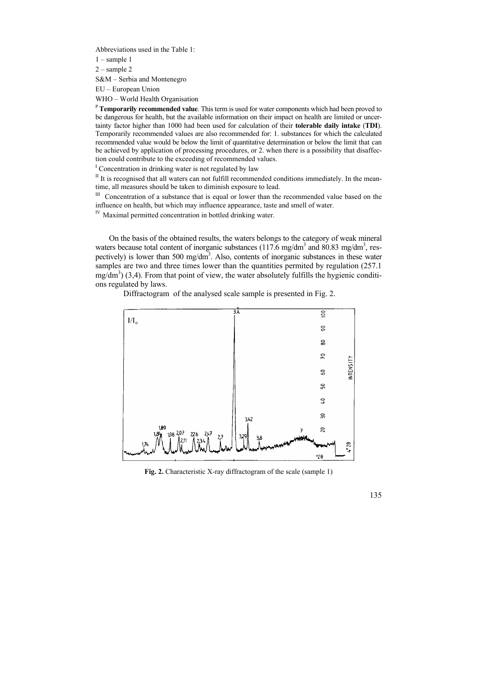Abbreviations used in the Table 1:

 $1$  – sample 1

2 – sample 2

S&M – Serbia and Montenegro

EU – European Union

WHO – World Health Organisation

<sup>P</sup>**Temporarily recommended value**. This term is used for water components which had been proved to be dangerous for health, but the available information on their impact on health are limited or uncertainty factor higher than 1000 had been used for calculation of their **tolerable daily intake** (**TDI**). Temporarily recommended values are also recommended for: 1. substances for which the calculated recommended value would be below the limit of quantitative determination or below the limit that can be achieved by application of processing procedures, or 2. when there is a possibility that disaffection could contribute to the exceeding of recommended values.

<sup>I</sup> Concentration in drinking water is not regulated by law

 $II$  It is recognised that all waters can not fulfill recommended conditions immediately. In the meantime, all measures should be taken to diminish exposure to lead.<br>III Concentration of a substance that is equal or lower than the recommended value based on the

influence on health, but which may influence appearance, taste and smell of water. IV Maximal permitted concentration in bottled drinking water.

On the basis of the obtained results, the waters belongs to the category of weak mineral waters because total content of inorganic substances (117.6 mg/dm<sup>3</sup> and 80.83 mg/dm<sup>3</sup>, respectively) is lower than 500 mg/dm<sup>3</sup>. Also, contents of inorganic substances in these water samples are two and three times lower than the quantities permited by regulation (257.1)  $mg/dm<sup>3</sup>$ ) (3,4). From that point of view, the water absolutely fulfills the hygienic conditions regulated by laws.

Diffractogram of the analysed scale sample is presented in Fig. 2.



**Fig. 2.** Characteristic X-ray diffractogram of the scale (sample 1)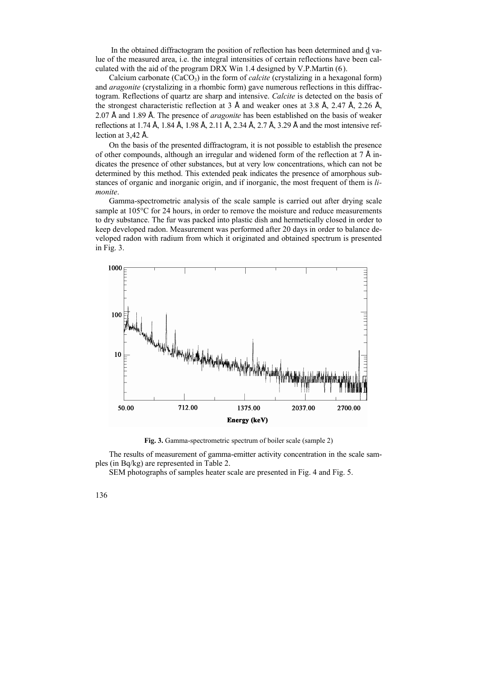In the obtained diffractogram the position of reflection has been determined and d value of the measured area, i.e. the integral intensities of certain reflections have been calculated with the aid of the program DRX Win 1.4 designed by V.P.Martin (6).

Calcium carbonate  $(CaCO<sub>3</sub>)$  in the form of *calcite* (crystalizing in a hexagonal form) and *aragonite* (crystalizing in a rhombic form) gave numerous reflections in this diffractogram. Reflections of quartz are sharp and intensive. *Calcite* is detected on the basis of the strongest characteristic reflection at 3 Å and weaker ones at 3.8 Å, 2.47 Å, 2.26 Å, 2.07 Å and 1.89 Å. The presence of *aragonite* has been established on the basis of weaker reflections at 1.74 Å, 1.84 Å, 1.98 Å, 2.11 Å, 2.34 Å, 2.7 Å, 3.29 Å and the most intensive reflection at 3,42 Å.

On the basis of the presented diffractogram, it is not possible to establish the presence of other compounds, although an irregular and widened form of the reflection at  $7 \text{ Å}$  indicates the presence of other substances, but at very low concentrations, which can not be determined by this method. This extended peak indicates the presence of amorphous substances of organic and inorganic origin, and if inorganic, the most frequent of them is *limonite*.

Gamma-spectrometric analysis of the scale sample is carried out after drying scale sample at 105°C for 24 hours, in order to remove the moisture and reduce measurements to dry substance. The fur was packed into plastic dish and hermetically closed in order to keep developed radon. Measurement was performed after 20 days in order to balance developed radon with radium from which it originated and obtained spectrum is presented in Fig. 3.



**Fig. 3.** Gamma-spectrometric spectrum of boiler scale (sample 2)

The results of measurement of gamma-emitter activity concentration in the scale samples (in Bq/kg) are represented in Table 2.

SEM photographs of samples heater scale are presented in Fig. 4 and Fig. 5.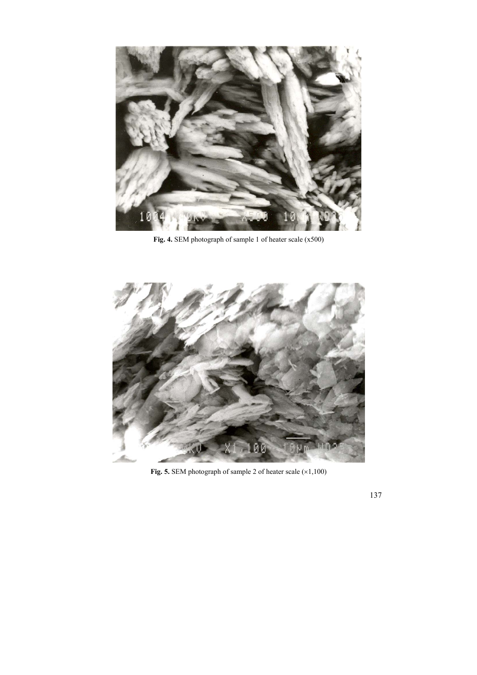

**Fig. 4.** SEM photograph of sample 1 of heater scale (x500)



Fig. 5. SEM photograph of sample 2 of heater scale ( $\times$ 1,100)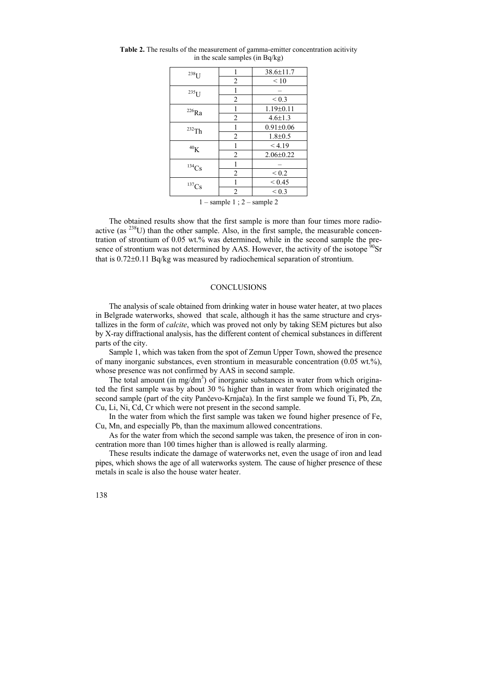|                | 38.6±11.7       |  |
|----------------|-----------------|--|
| $\overline{2}$ | $\leq 10$       |  |
|                |                 |  |
| $\overline{2}$ | ${}_{0.3}$      |  |
| 1              | $1.19 \pm 0.11$ |  |
| $\overline{2}$ | $4.6 \pm 1.3$   |  |
| 1              | $0.91 \pm 0.06$ |  |
| $\overline{2}$ | $1.8 \pm 0.5$   |  |
| 1              | < 4.19          |  |
| $\overline{c}$ | $2.06 \pm 0.22$ |  |
| 1              |                 |  |
| $\overline{2}$ | ${}_{0.2}$      |  |
| 1              | ${}_{0.45}$     |  |
| $\overline{2}$ | ${}_{0.3}$      |  |
|                |                 |  |

**Table 2.** The results of the measurement of gamma-emitter concentration acitivity in the scale samples (in Bq/kg)

 $1$  – sample 1 ;  $2$  – sample 2

The obtained results show that the first sample is more than four times more radioactive (as  $^{238}$ U) than the other sample. Also, in the first sample, the measurable concentration of strontium of 0.05 wt.% was determined, while in the second sample the presence of strontium was not determined by AAS. However, the activity of the isotope  $\mathrm{^{90}Sr}$ that is 0.72±0.11 Bq/kg was measured by radiochemical separation of strontium.

#### **CONCLUSIONS**

The analysis of scale obtained from drinking water in house water heater, at two places in Belgrade waterworks, showed that scale, although it has the same structure and crystallizes in the form of *calcite*, which was proved not only by taking SEM pictures but also by X-ray diffractional analysis, has the different content of chemical substances in different parts of the city.

Sample 1, which was taken from the spot of Zemun Upper Town, showed the presence of many inorganic substances, even strontium in measurable concentration (0.05 wt.%), whose presence was not confirmed by AAS in second sample.

The total amount (in mg/dm<sup>3</sup>) of inorganic substances in water from which originated the first sample was by about 30 % higher than in water from which originated the second sample (part of the city Pančevo-Krnjača). In the first sample we found Ti, Pb, Zn, Cu, Li, Ni, Cd, Cr which were not present in the second sample.

In the water from which the first sample was taken we found higher presence of Fe, Cu, Mn, and especially Pb, than the maximum allowed concentrations.

As for the water from which the second sample was taken, the presence of iron in concentration more than 100 times higher than is allowed is really alarming.

These results indicate the damage of waterworks net, even the usage of iron and lead pipes, which shows the age of all waterworks system. The cause of higher presence of these metals in scale is also the house water heater.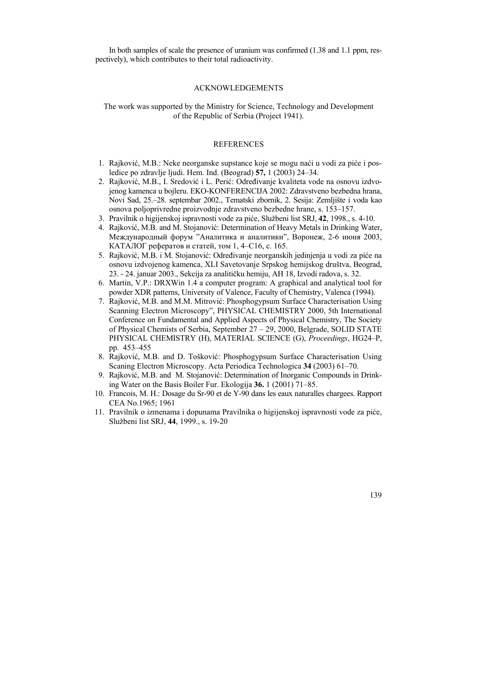In both samples of scale the presence of uranium was confirmed (1.38 and 1.1 ppm, respectively), which contributes to their total radioactivity.

#### ACKNOWLEDGEMENTS

The work was supported by the Ministry for Science, Technology and Development of the Republic of Serbia (Project 1941).

## REFERENCES

- 1. Rajković, M.B.: Neke neorganske supstance koje se mogu naći u vodi za piće i posledice po zdravlje ljudi. Hem. Ind. (Beograd) **57,** 1 (2003) 24–34.
- 2. Rajković, M.B., I. Sredović i L. Perić: Određivanje kvaliteta vode na osnovu izdvojenog kamenca u bojleru. EKO-KONFERENCIJA 2002: Zdravstveno bezbedna hrana, Novi Sad, 25.–28. septembar 2002., Tematski zbornik, 2. Sesija: Zemljište i voda kao osnova poljoprivredne proizvodnje zdravstveno bezbedne hrane, s. 153–157.
- 3. Pravilnik o higijenskoj ispravnosti vode za piće, Službeni list SRJ, **42**, 1998., s. 4-10.
- 4. Rajković, M.B. and M. Stojanović: Determination of Heavy Metals in Drinking Water, Международный форум "Аналитика и аналитики", Воронеж, 2-6 июня 2003, КАТАЛОГ рефератов и статей, том 1, 4–C16, с. 165.
- 5. Rajković, M.B. i M. Stojanović: Određivanje neorganskih jedinjenja u vodi za piće na osnovu izdvojenog kamenca, XLI Savetovanje Srpskog hemijskog društva, Beograd, 23. - 24. januar 2003., Sekcija za analitičku hemiju, AH 18, Izvodi radova, s. 32.
- 6. Martin, V.P.: DRXWin 1.4 a computer program: A graphical and analytical tool for powder XDR patterns, University of Valence, Faculty of Chemistry, Valenca (1994).
- 7. Rajković, M.B. and M.M. Mitrović: Phosphogypsum Surface Characterisation Using Scanning Electron Microscopy", PHYSICAL CHEMISTRY 2000, 5th International Conference on Fundamental and Applied Aspects of Physical Chemistry, The Society of Physical Chemists of Serbia, September 27 – 29, 2000, Belgrade, SOLID STATE PHYSICAL CHEMISTRY (H), MATERIAL SCIENCE (G), *Proceedings*, HG24–P, pp. 453–455
- 8. Rajković, M.B. and D. Tošković: Phosphogypsum Surface Characterisation Using Scaning Electron Microscopy. Acta Periodica Technologica **34** (2003) 61–70.
- 9. Rajković, M.B. and M. Stojanović: Determination of Inorganic Compounds in Drinking Water on the Basis Boiler Fur. Ekologija **36.** 1 (2001) 71–85.
- 10. Francois, M. H.: Dosage du Sr-90 et de Y-90 dans les eaux naturalles chargees. Rapport CEA No.1965; 1961
- 11. Pravilnik o izmenama i dopunama Pravilnika o higijenskoj ispravnosti vode za piće, Službeni list SRJ, **44**, 1999., s. 19-20